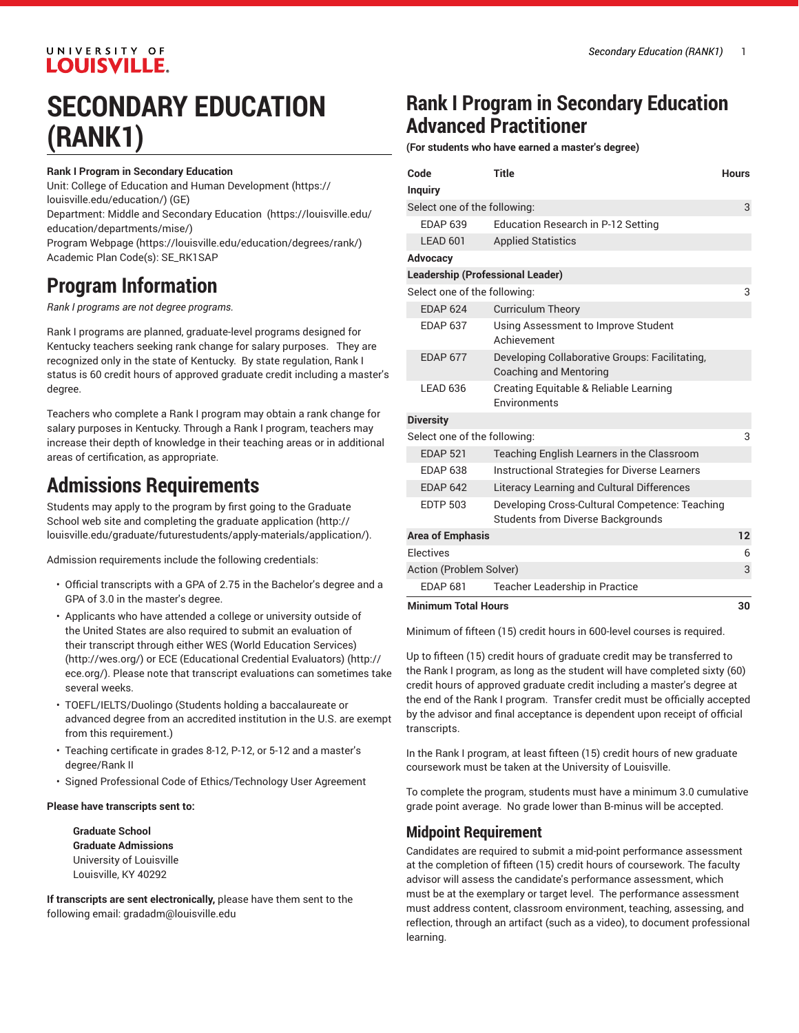### UNIVERSITY OF **LOUISVILLE.**

## **SECONDARY EDUCATION (RANK1)**

#### **Rank I Program in Secondary Education**

Unit: College of Education and Human [Development \(https://](https://louisville.edu/education/) [louisville.edu/education/](https://louisville.edu/education/)) (GE)

Department: Middle and Secondary [Education \(https://louisville.edu/](https://louisville.edu/education/departments/mise/) [education/departments/mise/](https://louisville.edu/education/departments/mise/))

Program [Webpage](https://louisville.edu/education/degrees/rank/) [\(https://louisville.edu/education/degrees/rank/\)](https://louisville.edu/education/degrees/rank/) Academic Plan Code(s): SE\_RK1SAP

### **Program Information**

*Rank I programs are not degree programs.*

Rank I programs are planned, graduate-level programs designed for Kentucky teachers seeking rank change for salary purposes. They are recognized only in the state of Kentucky. By state regulation, Rank I status is 60 credit hours of approved graduate credit including a master's degree.

Teachers who complete a Rank I program may obtain a rank change for salary purposes in Kentucky. Through a Rank I program, teachers may increase their depth of knowledge in their teaching areas or in additional areas of certification, as appropriate.

### **Admissions Requirements**

Students may apply to the program by first going to the Graduate School web site and completing the [graduate application](http://louisville.edu/graduate/futurestudents/apply-materials/application/) ([http://](http://louisville.edu/graduate/futurestudents/apply-materials/application/) [louisville.edu/graduate/futurestudents/apply-materials/application/](http://louisville.edu/graduate/futurestudents/apply-materials/application/)).

Admission requirements include the following credentials:

- Official transcripts with a GPA of 2.75 in the Bachelor's degree and a GPA of 3.0 in the master's degree.
- Applicants who have attended a college or university outside of the United States are also required to submit an evaluation of their transcript through either WES (World [Education](http://wes.org/) Services) ([http://wes.org/\)](http://wes.org/) or ECE [\(Educational](http://ece.org/) Credential Evaluators) ([http://](http://ece.org/) [ece.org/\)](http://ece.org/). Please note that transcript evaluations can sometimes take several weeks.
- TOEFL/IELTS/Duolingo (Students holding a baccalaureate or advanced degree from an accredited institution in the U.S. are exempt from this requirement.)
- Teaching certificate in grades 8-12, P-12, or 5-12 and a master's degree/Rank II
- Signed Professional Code of Ethics/Technology User Agreement

#### **Please have transcripts sent to:**

**Graduate School Graduate Admissions** University of Louisville Louisville, KY 40292

**If transcripts are sent electronically,** please have them sent to the following email: [gradadm@louisville.edu](mailto:gradadm@louisville.edu)

### **Rank I Program in Secondary Education Advanced Practitioner**

**(For students who have earned a master's degree)**

| Code                                    | <b>Title</b>                                                                               | <b>Hours</b> |
|-----------------------------------------|--------------------------------------------------------------------------------------------|--------------|
| <b>Inquiry</b>                          |                                                                                            |              |
| Select one of the following:<br>3       |                                                                                            |              |
| <b>FDAP 639</b>                         | Education Research in P-12 Setting                                                         |              |
| LEAD 601                                | <b>Applied Statistics</b>                                                                  |              |
| Advocacy                                |                                                                                            |              |
| <b>Leadership (Professional Leader)</b> |                                                                                            |              |
| Select one of the following:            |                                                                                            | 3            |
| <b>FDAP 624</b>                         | <b>Curriculum Theory</b>                                                                   |              |
| <b>EDAP 637</b>                         | Using Assessment to Improve Student<br>Achievement                                         |              |
| <b>EDAP 677</b>                         | Developing Collaborative Groups: Facilitating,<br><b>Coaching and Mentoring</b>            |              |
| LEAD 636                                | Creating Equitable & Reliable Learning<br>Environments                                     |              |
| <b>Diversity</b>                        |                                                                                            |              |
| Select one of the following:            |                                                                                            | 3            |
| <b>EDAP 521</b>                         | Teaching English Learners in the Classroom                                                 |              |
| <b>EDAP 638</b>                         | Instructional Strategies for Diverse Learners                                              |              |
| <b>EDAP 642</b>                         | Literacy Learning and Cultural Differences                                                 |              |
| <b>FDTP 503</b>                         | Developing Cross-Cultural Competence: Teaching<br><b>Students from Diverse Backgrounds</b> |              |
| <b>Area of Emphasis</b>                 |                                                                                            | 12           |
| <b>Flectives</b>                        |                                                                                            | 6            |
| Action (Problem Solver)                 |                                                                                            | 3            |
| <b>EDAP 681</b>                         | Teacher Leadership in Practice                                                             |              |
| <b>Minimum Total Hours</b><br>30        |                                                                                            |              |

Minimum of fifteen (15) credit hours in 600-level courses is required.

Up to fifteen (15) credit hours of graduate credit may be transferred to the Rank I program, as long as the student will have completed sixty (60) credit hours of approved graduate credit including a master's degree at the end of the Rank I program. Transfer credit must be officially accepted by the advisor and final acceptance is dependent upon receipt of official transcripts.

In the Rank I program, at least fifteen (15) credit hours of new graduate coursework must be taken at the University of Louisville.

To complete the program, students must have a minimum 3.0 cumulative grade point average. No grade lower than B-minus will be accepted.

#### **Midpoint Requirement**

Candidates are required to submit a mid-point performance assessment at the completion of fifteen (15) credit hours of coursework. The faculty advisor will assess the candidate's performance assessment, which must be at the exemplary or target level. The performance assessment must address content, classroom environment, teaching, assessing, and reflection, through an artifact (such as a video), to document professional learning.